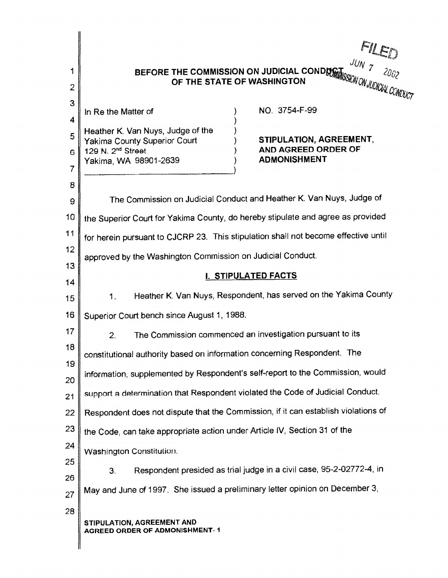| 1                                                            | $FIL_{D}$                                                                                                                                                                                                                                                                                                                                                                                                                                                                                                          |
|--------------------------------------------------------------|--------------------------------------------------------------------------------------------------------------------------------------------------------------------------------------------------------------------------------------------------------------------------------------------------------------------------------------------------------------------------------------------------------------------------------------------------------------------------------------------------------------------|
| $\overline{2}$                                               | BEFORE THE COMMISSION ON JUDICIAL CONDUCT THE COMMISSION ON JUDICIAL CONDUCT THE STATE OF WASHINGTON                                                                                                                                                                                                                                                                                                                                                                                                               |
| 3<br>$\overline{\bf 4}$<br>5<br>6<br>7<br>8<br>9<br>10<br>11 | NO. 3754-F-99<br>In Re the Matter of<br>Heather K. Van Nuys, Judge of the<br>STIPULATION, AGREEMENT,<br>Yakima County Superior Court<br>AND AGREED ORDER OF<br>129 N. 2 <sup>nd</sup> Street<br><b>ADMONISHMENT</b><br>Yakima, WA 98901-2639<br>The Commission on Judicial Conduct and Heather K. Van Nuys, Judge of<br>the Superior Court for Yakima County, do hereby stipulate and agree as provided<br>for herein pursuant to CJCRP 23. This stipulation shall not become effective until                      |
| 12                                                           | approved by the Washington Commission on Judicial Conduct.                                                                                                                                                                                                                                                                                                                                                                                                                                                         |
| 13                                                           | I. STIPULATED FACTS                                                                                                                                                                                                                                                                                                                                                                                                                                                                                                |
| 14                                                           | Heather K. Van Nuys, Respondent, has served on the Yakima County                                                                                                                                                                                                                                                                                                                                                                                                                                                   |
| 15                                                           | 1.                                                                                                                                                                                                                                                                                                                                                                                                                                                                                                                 |
| 16                                                           | Superior Court bench since August 1, 1988.                                                                                                                                                                                                                                                                                                                                                                                                                                                                         |
| 17                                                           | The Commission commenced an investigation pursuant to its                                                                                                                                                                                                                                                                                                                                                                                                                                                          |
| 18                                                           | 2 <sub>1</sub>                                                                                                                                                                                                                                                                                                                                                                                                                                                                                                     |
| 19                                                           | constitutional authority based on information concerning Respondent. The                                                                                                                                                                                                                                                                                                                                                                                                                                           |
| 20                                                           | information, supplemented by Respondent's self-report to the Commission, would                                                                                                                                                                                                                                                                                                                                                                                                                                     |
| 21<br>22<br>23<br>24<br>25<br>26<br>27<br>28                 | support a determination that Respondent violated the Code of Judicial Conduct.<br>Respondent does not dispute that the Commission, if it can establish violations of<br>the Code, can take appropriate action under Article IV, Section 31 of the<br>Washington Constitution.<br>Respondent presided as trial judge in a civil case, 95-2-02772-4, in<br>3.<br>May and June of 1997. She issued a preliminary letter opinion on December 3,<br>STIPULATION, AGREEMENT AND<br><b>AGREED ORDER OF ADMONISHMENT-1</b> |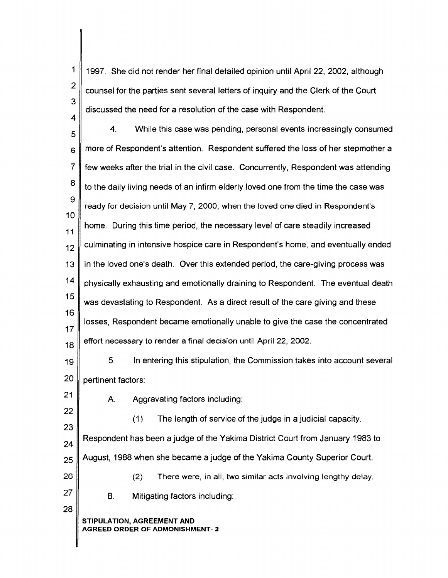| 1   1997. She did not render her final detailed opinion until April 22, 2002, although                                                  |
|-----------------------------------------------------------------------------------------------------------------------------------------|
| $\begin{array}{ c c } \hline 2 & \hline \end{array}$ counsel for the parties sent several letters of inquiry and the Clerk of the Court |
| 3<br>discussed the need for a resolution of the case with Respondent.                                                                   |

5 4. While this case was pending, personal events increasingly consumed  $6 \parallel$  more of Respondent's attention. Respondent suffered the loss of her stepmother a 7 few weeks after the trial in the civil case. Concurrently, Respondent was attending  $8 \parallel$  to the daily living needs of an infirm elderly loved one from the time the case was 9 10 11 12 13 14 15 16 17 18 ready for decision until **May** 7, 2000, when the loved one died in Respondent's home. During this time period, the necessary level of care steadily increased culminating in intensive hospice care in Respondent's home, and eventually ended in the loved one's death. Over this extended period, the care-giving process was physically exhausting and emotionally draining to Respondent. The eventual death was devastating to Respondent. As a direct result of the care giving and these losses, Respondent became emotionally unable to give the case the concentrated effort necessary to render a final decision until April 22, 2002.

19 5. In entering this stipulation, the Commission takes into account several 20 pertinent factors:

A. Aggravating factors including:

21

22 23 24 (1) The length of service of the judge in a judicial capacity. Respondent has been a judge of the Yakima District Court from January 1983 to  $25$  August, 1988 when she became a judge of the Yakima County Superior Court. 26 27 28 (2) There were, in all, two similar acts involving lengthy delay. B. Mitigating factors including: **STIPULATION, AGREEMENT AND** 

#### **AGREED ORDER OF ADMONISHMENT- 2**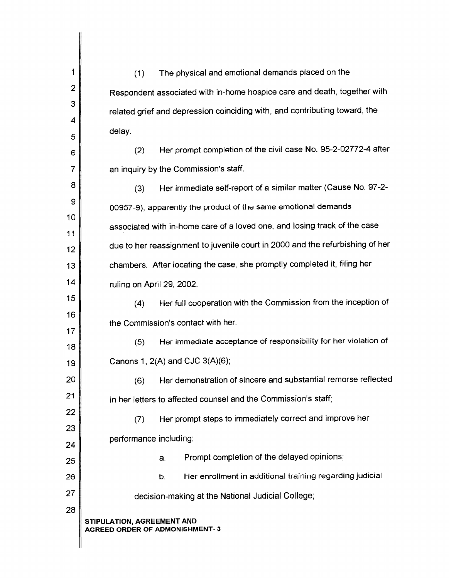| 1        | The physical and emotional demands placed on the<br>(1)                       |
|----------|-------------------------------------------------------------------------------|
| 2        | Respondent associated with in-home hospice care and death, together with      |
| 3        | related grief and depression coinciding with, and contributing toward, the    |
| 4        | delay.                                                                        |
| 5        | Her prompt completion of the civil case No. 95-2-02772-4 after                |
| 6        | (2)                                                                           |
| 7        | an inquiry by the Commission's staff.                                         |
| 8        | Her immediate self-report of a similar matter (Cause No. 97-2-<br>(3)         |
| 9<br>10  | 00957-9), apparently the product of the same emotional demands                |
| 11       | associated with in-home care of a loved one, and losing track of the case     |
| 12       | due to her reassignment to juvenile court in 2000 and the refurbishing of her |
| 13       | chambers. After locating the case, she promptly completed it, filing her      |
| 14       | ruling on April 29, 2002.                                                     |
| 15       | Her full cooperation with the Commission from the inception of<br>(4)         |
| 16       | the Commission's contact with her.                                            |
| 17<br>18 | Her immediate acceptance of responsibility for her violation of<br>(5)        |
| 19       | Canons 1, $2(A)$ and CJC $3(A)(6)$ ;                                          |
| 20       | Her demonstration of sincere and substantial remorse reflected<br>(6)         |
| 21       | in her letters to affected counsel and the Commission's staff;                |
| 22       | Her prompt steps to immediately correct and improve her<br>(7)                |
| 23       | performance including:                                                        |
| 24       | Prompt completion of the delayed opinions;<br>a.                              |
| 25       | Her enrollment in additional training regarding judicial                      |
| 26       | b.                                                                            |
| 27<br>28 | decision-making at the National Judicial College;                             |
|          | STIPULATION, AGREEMENT AND<br><b>AGREED ORDER OF ADMONISHMENT-3</b>           |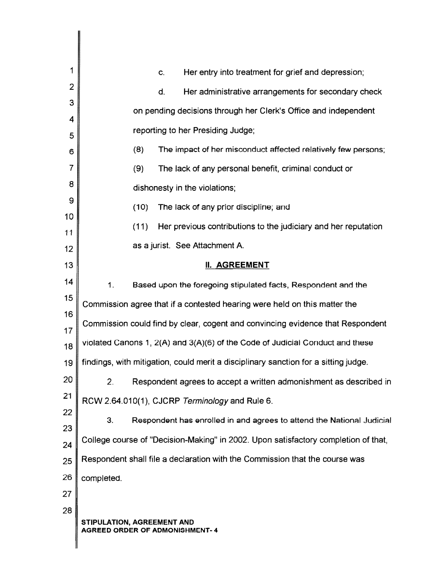| 1              | Her entry into treatment for grief and depression;<br>C.                            |
|----------------|-------------------------------------------------------------------------------------|
| $\overline{2}$ | Her administrative arrangements for secondary check<br>d.                           |
| 3              | on pending decisions through her Clerk's Office and independent                     |
| 4              | reporting to her Presiding Judge;                                                   |
| 5              |                                                                                     |
| 6              | The impact of her misconduct affected relatively few persons;<br>(8)                |
| 7              | (9)<br>The lack of any personal benefit, criminal conduct or                        |
| 8              | dishonesty in the violations;                                                       |
| 9<br>10        | (10)<br>The lack of any prior discipline; and                                       |
| 11             | (11)<br>Her previous contributions to the judiciary and her reputation              |
| 12             | as a jurist. See Attachment A.                                                      |
| 13             | <b>II. AGREEMENT</b>                                                                |
| 14             | 1.<br>Based upon the foregoing stipulated facts, Respondent and the                 |
| 15             | Commission agree that if a contested hearing were held on this matter the           |
| 16             | Commission could find by clear, cogent and convincing evidence that Respondent      |
| 17<br>18       | violated Canons 1, 2(A) and 3(A)(6) of the Code of Judicial Conduct and these       |
| 19             | findings, with mitigation, could merit a disciplinary sanction for a sitting judge. |
| 20             | Respondent agrees to accept a written admonishment as described in<br>2.            |
| 21             | RCW 2.64.010(1), CJCRP Terminology and Rule 6.                                      |
| 22             | З,<br>Respondent has enrolled in and agrees to attend the National Judicial         |
| 23             |                                                                                     |
| 24             | College course of "Decision-Making" in 2002. Upon satisfactory completion of that,  |
| 25             | Respondent shall file a declaration with the Commission that the course was         |
| 26             | completed.                                                                          |
| 27             |                                                                                     |
| 28             | STIPULATION, AGREEMENT AND<br><b>AGREED ORDER OF ADMONISHMENT-4</b>                 |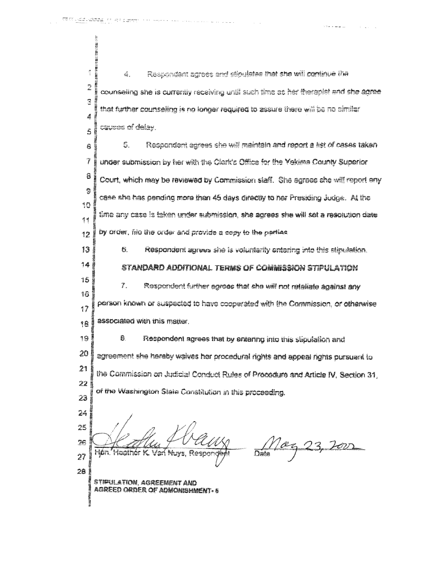"

夜空 経緯中経時に緩迫  $\frac{1}{2}$ Rean-adact agrees and stipulates that she will continue the á.  $\frac{1}{2}$ counseling she is currently receiving until such time at her therepist and she earee  $\overline{3}$ that further counseling is no longer required to assure there will be no similar Ą causes of delay.  $\tilde{5}$ 5. Respondent egrees she will maintain and report a list of cases taken Ĝ 7 under submission by her with the Clark's Office for the Yekima County Superior ā Court, which may be reviewed by Commission staff. She egrees she will report any Ŝ case she has pending more than 45 days directly to her Presiding Judge. At the 10 fime any case is taken under submission, she agrees she will set a resolution date 学生 by arder, file the order and provide a copy to the narties  $12$ 13  $\mathbf{g}$ Respondent agrees she is voluntarily entering into this stipulation.  $14$ STANDARD ADDITIONAL TERMS OF COMMISSION STIPULATION 15 Respondent further agrees that she will not retaliate against any 7. i6 person known or suspected to have cooperated with the Commission, or otherwise  $17$ associated with this matter. 18 19 Ð. Respondent agrees that by entering into this stigulation and 20 agreement she haraby waives her procedural rights and appeal rights pursuant to  $21$ the Commission on Judicial Conduct Rules of Procodure and Article IV, Section 31, 22 of the Washington State Constitution in this procaeding. 23  $24$ 25 <u>)</u> as I' Date Van Nuvs, Resno  $27$ ff 28! STIPULATION, AGRÉEMENT AND<br>AGREED ORDER OF ADMONISHMENT. 5

volumenta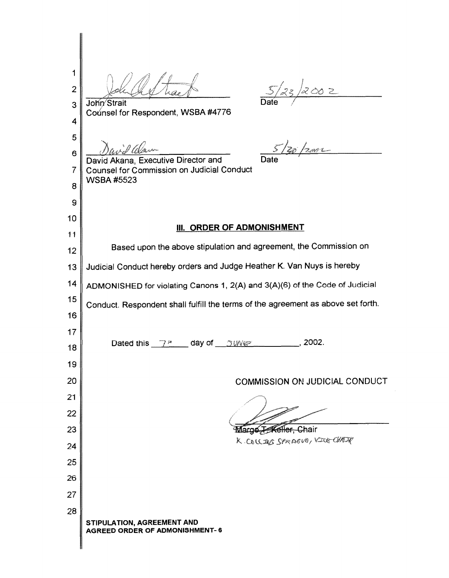1  $5/23/2002$ 2 John Strait 3 Counsel for Respondent, WSBA #4776 4 5 David *Clean*<br>David Akana, Executive Director and Date c.i.d Way 6 7 Counsel for Commission on Judicial Conduct WSBA#5523 8 9 10 **III. ORDER OF ADMONISHMENT** 11 Based upon the above stipulation and agreement, the Commission on 12 13 Judicial Conduct hereby orders and Judge Heather K. Van Nuys is hereby 14 ADMONISHED for violating Canons 1, 2(A) and 3(A)(6) of the Code of Judicial 15 Conduct. Respondent shall fulfill the terms of the agreement as above set forth. 16 17 Dated this  $7^m$  day of  $3000$   $\leq$ 18 19 20 COMMISSION ON JUDICIAL CONDUCT 21 22 23 Margo T-Keller, Chair K. COLLINS SPRAGUE, VICE CHADR 24 25 26 27 28 **STIPULATION, AGREEMENT AND AGREED ORDER OF ADMONISHMENT- 6**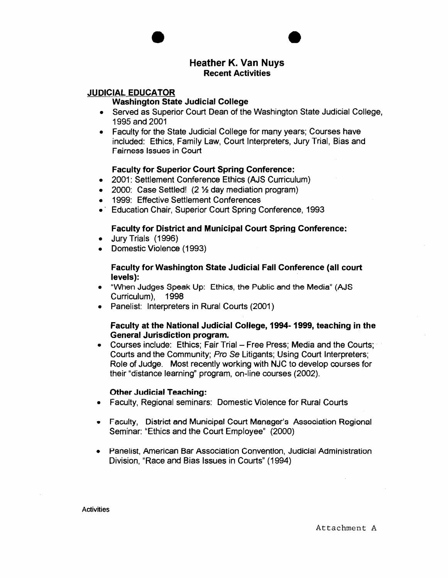

**e** 

## **JUDICIAL EDUCATOR**

#### **Washington State Judicial College**

- Served as Superior Court Dean of the Washington State Judicial College, 1995 and 2001
- Faculty for the State Judicial College for many years; Courses have included: Ethics, Family Law, Court Interpreters, Jury Trial, Bias and Fairness Issues in Court

### **Faculty for Superior Court Spring Conference:**

- 2001: Settlement Conference Ethics (AJS Curriculum)
- 2000: Case Settled! (2 % day mediation program)
- 1999: Effective Settlement Conferences
- Education Chair, Superior Court Spring Conference, 1993

### **Faculty for District and Municipal Court Spring Conference:**

- Jury Trials (1996)
- Domestic Violence (1993)

#### **Faculty for Washington State Judicial Fall Conference (all court levels):** ·

- "When Judges Speak Up: Ethics, the Public and the Media" (AJS Curriculum), 1998
- Panelist: Interpreters in Rural Courts (2001)

### **Faculty at the National Judicial College, 1994-1999, teaching in the General Jurisdiction program.**

• Courses include: Ethics: Fair Trial - Free Press; Media and the Courts; Courts and the Community; Pro Se Litigants; Using Court Interpreters; Role of Judge. Most recently working with NJC to develop courses for their "distance learning" program, on-line courses (2002).

#### **Other Judicial Teaching:**

- Faculty, Regional seminars: Domestic Violence for Rural Courts
- Faculty, District and Municipal Court Manager's Association Regional Seminar: "Ethics and the Court Employee" (2000)
- Panelist, American Bar Association Convention, Judicial Administration Division, "Race and Bias Issues in Courts" (1994)

**Activities** 

Attachment A